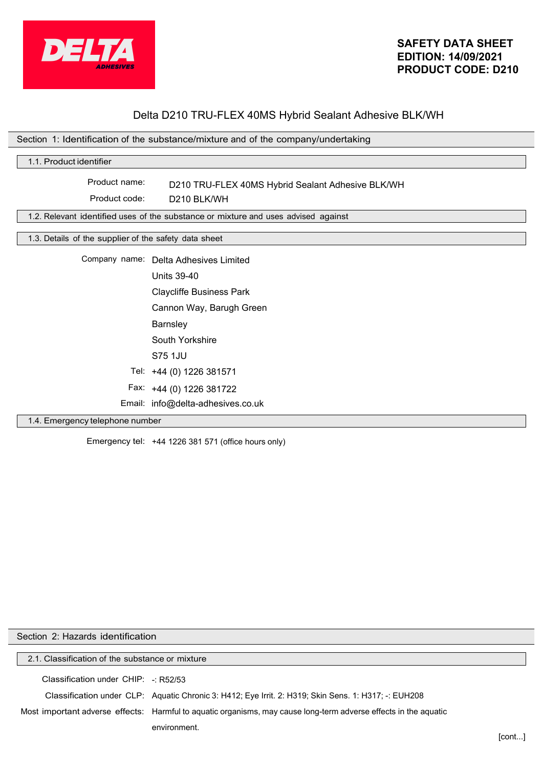

# Delta D210 TRU-FLEX 40MS Hybrid Sealant Adhesive BLK/WH

|                                                       | Section 1: Identification of the substance/mixture and of the company/undertaking  |
|-------------------------------------------------------|------------------------------------------------------------------------------------|
| 1.1. Product identifier                               |                                                                                    |
| Product name:                                         |                                                                                    |
|                                                       | D210 TRU-FLEX 40MS Hybrid Sealant Adhesive BLK/WH                                  |
| Product code:                                         | D <sub>210</sub> BLK/WH                                                            |
|                                                       | 1.2. Relevant identified uses of the substance or mixture and uses advised against |
| 1.3. Details of the supplier of the safety data sheet |                                                                                    |
|                                                       |                                                                                    |
|                                                       | Company name: Delta Adhesives Limited                                              |
|                                                       | <b>Units 39-40</b>                                                                 |
|                                                       | <b>Claycliffe Business Park</b>                                                    |
|                                                       | Cannon Way, Barugh Green                                                           |
|                                                       | Barnsley                                                                           |
|                                                       | South Yorkshire                                                                    |
|                                                       | S75 1JU                                                                            |
|                                                       | Tel: +44 (0) 1226 381571                                                           |
|                                                       | Fax: +44 (0) 1226 381722                                                           |
|                                                       | Email: info@delta-adhesives.co.uk                                                  |
| 1.4. Emergency telephone number                       |                                                                                    |

### 1.4. Emergency telephone number

Emergency tel: +44 1226 381 571 (office hours only)

| Section 2: Hazards identification               |                                                                                                                  |       |
|-------------------------------------------------|------------------------------------------------------------------------------------------------------------------|-------|
| 2.1. Classification of the substance or mixture |                                                                                                                  |       |
| Classification under $CHIP:$ : R52/53           |                                                                                                                  |       |
|                                                 | Classification under CLP: Aquatic Chronic 3: H412; Eye Irrit. 2: H319; Skin Sens. 1: H317; -: EUH208             |       |
|                                                 | Most important adverse effects: Harmful to aguatic organisms, may cause long-term adverse effects in the aguatic |       |
|                                                 | environment.                                                                                                     | ſcont |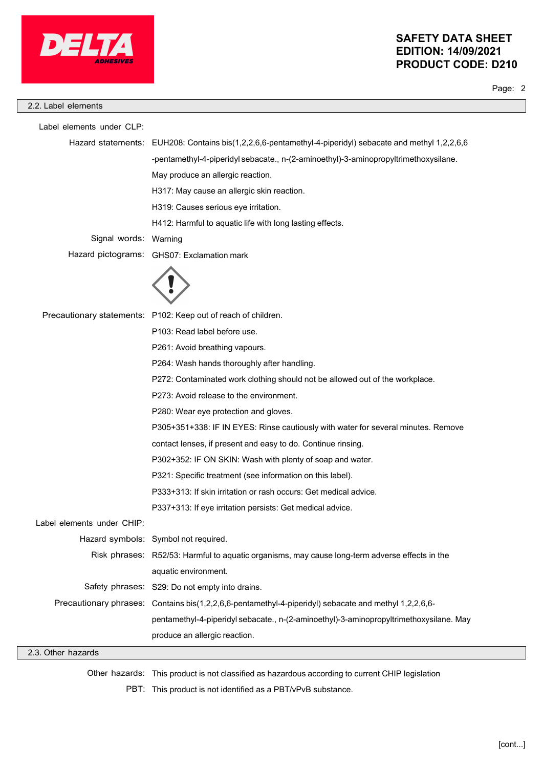

Page: 2

Label elements under CLP: Hazard statements: EUH208: Contains bis(1,2,2,6,6-pentamethyl-4-piperidyl) sebacate and methyl 1,2,2,6,6 -pentamethyl-4-piperidyl sebacate., n-(2-aminoethyl)-3-aminopropyltrimethoxysilane. May produce an allergic reaction. H317: May cause an allergic skin reaction. H319: Causes serious eye irritation. H412: Harmful to aquatic life with long lasting effects. Warning GHS07: Exclamation mark Signal words: Hazard pictograms: Precautionary statements: P102: Keep out of reach of children. P103: Read label before use. P261: Avoid breathing vapours. P264: Wash hands thoroughly after handling. P272: Contaminated work clothing should not be allowed out of the workplace. P273: Avoid release to the environment. P280: Wear eye protection and gloves. P305+351+338: IF IN EYES: Rinse cautiously with water for several minutes. Remove contact lenses, if present and easy to do. Continue rinsing. P302+352: IF ON SKIN: Wash with plenty of soap and water. P321: Specific treatment (see information on this label). P333+313: If skin irritation or rash occurs: Get medical advice. P337+313: If eye irritation persists: Get medical advice. Label elements under CHIP: Hazard symbols: Symbol not required. Risk phrases: R52/53: Harmful to aquatic organisms, may cause long-term adverse effects in the aquatic environment. Safety phrases: S29: Do not empty into drains. Contains bis(1,2,2,6,6-pentamethyl-4-piperidyl) sebacate and methyl 1,2,2,6,6 pentamethyl-4-piperidyl sebacate., n-(2-aminoethyl)-3-aminopropyltrimethoxysilane. May produce an allergic reaction. Precautionary phrases: 2.2. Label elements

#### 2.3. Other hazards

Other hazards: This product is not classified as hazardous according to current CHIP legislation

PBT: This product is not identified as a PBT/vPvB substance.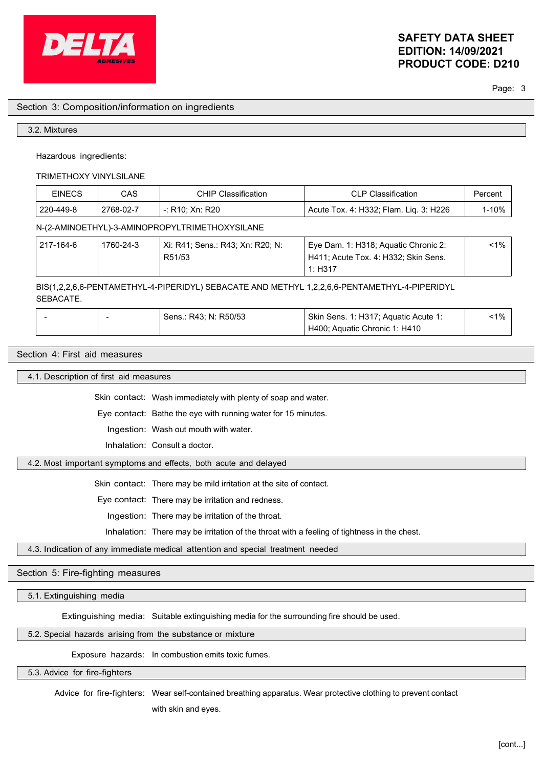

Page: 3

#### Section 3: Composition/information on ingredients

#### 3.2. Mixtures

Hazardous ingredients:

TRIMETHOXY VINYLSILANE

| <b>EINECS</b>                                  | CAS       | <b>CHIP Classification</b> | CLP Classification                     | Percent |
|------------------------------------------------|-----------|----------------------------|----------------------------------------|---------|
| 220-449-8                                      | 2768-02-7 | -: R10: Xn: R20            | Acute Tox. 4: H332; Flam. Lig. 3: H226 | 1-10%   |
| N-(2-AMINOETHYL)-3-AMINOPROPYLTRIMETHOXYSILANE |           |                            |                                        |         |

| 217-164-6 | 1760-24-3 | ⊦ Xi: R41; Sens.: R43; Xn: R20; N: | Eye Dam. 1: H318; Aguatic Chronic 2:              | $< 1\%$ |
|-----------|-----------|------------------------------------|---------------------------------------------------|---------|
|           |           | R51/53                             | <sup>1</sup> H411; Acute Tox. 4: H332; Skin Sens. |         |
|           |           |                                    | 1: H317                                           |         |

BIS(1,2,2,6,6-PENTAMETHYL-4-PIPERIDYL) SEBACATE AND METHYL 1,2,2,6,6-PENTAMETHYL-4-PIPERIDYL SEBACATE.

|  | ่ Sens.: R43: N: R50/53 | Skin Sens. 1: H317; Aquatic Acute 1: | $-1\%$ |  |
|--|-------------------------|--------------------------------------|--------|--|
|  |                         | H400; Aquatic Chronic 1: H410        |        |  |

## Section 4: First aid measures

4.1. Description of first aid measures

Skin contact: Wash immediately with plenty of soap and water.

Eye contact: Bathe the eye with running water for 15 minutes.

Ingestion: Wash out mouth with water.

Inhalation: Consult a doctor.

#### 4.2. Most important symptoms and effects, both acute and delayed

Skin contact: There may be mild irritation at the site of contact.

Eye contact: There may be irritation and redness.

Ingestion: There may be irritation of the throat.

Inhalation: There may be irritation of the throat with a feeling of tightness in the chest.

4.3. Indication of any immediate medical attention and special treatment needed

## Section 5: Fire-fighting measures

5.1. Extinguishing media

Extinguishing media: Suitable extinguishing media for the surrounding fire should be used.

5.2. Special hazards arising from the substance or mixture

Exposure hazards: In combustion emits toxic fumes.

5.3. Advice for fire-fighters

Advice for fire-fighters: Wear self-contained breathing apparatus. Wear protective clothing to prevent contact

with skin and eyes.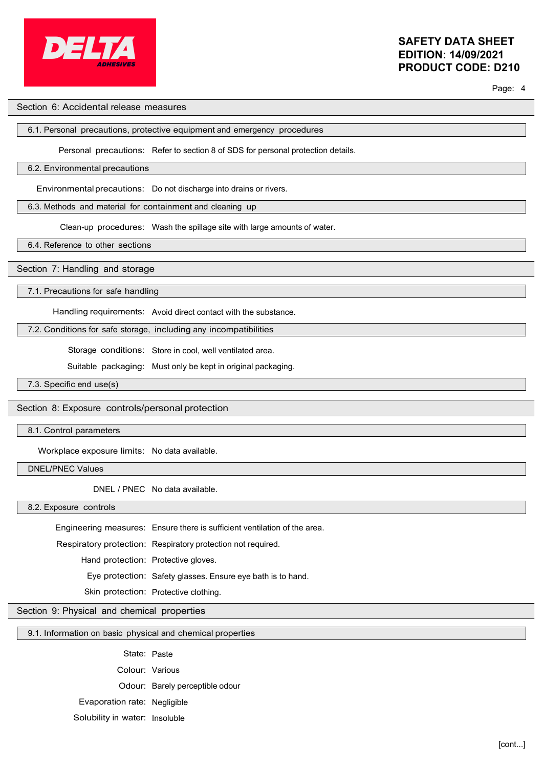

Page: 4

## Section 6: Accidental release measures

### 6.1. Personal precautions, protective equipment and emergency procedures

Personal precautions: Refer to section 8 of SDS for personal protection details.

## 6.2. Environmental precautions

Environmentalprecautions: Do not discharge into drains or rivers.

6.3. Methods and material for containment and cleaning up

Clean-up procedures: Wash the spillage site with large amounts of water.

6.4. Reference to other sections

## Section 7: Handling and storage

7.1. Precautions for safe handling

Handling requirements: Avoid direct contact with the substance.

7.2. Conditions for safe storage, including any incompatibilities

Storage conditions: Store in cool, well ventilated area.

Suitable packaging: Must only be kept in original packaging.

7.3. Specific end use(s)

## Section 8: Exposure controls/personal protection

8.1. Control parameters

Workplace exposure limits: No data available.

DNEL/PNEC Values

DNEL / PNEC No data available.

8.2. Exposure controls

Engineering measures: Ensure there is sufficient ventilation of the area.

Respiratory protection: Respiratory protection not required.

Hand protection: Protective gloves.

Eye protection: Safety glasses. Ensure eye bath is to hand.

Skin protection: Protective clothing.

## Section 9: Physical and chemical properties

## 9.1. Information on basic physical and chemical properties

State: Paste

Colour: Various

Odour: Barely perceptible odour

Evaporation rate: Negligible

Solubility in water: Insoluble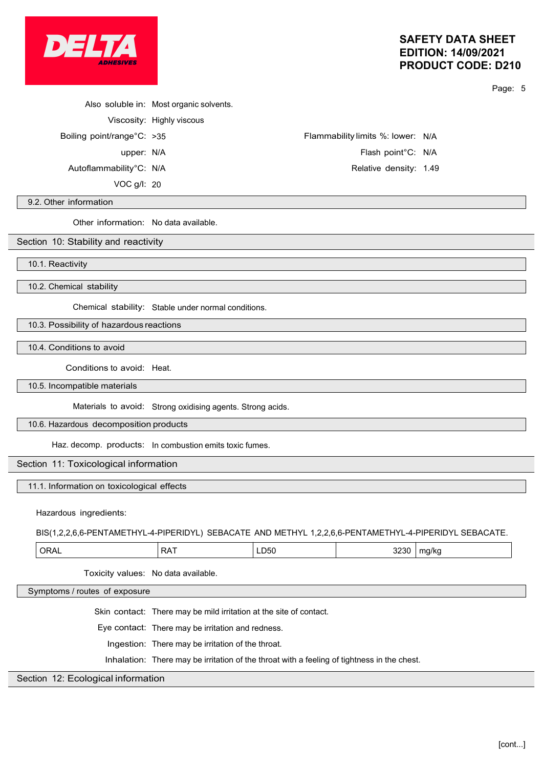

Page: 5

|                            | Also soluble in: Most organic solvents. |                                   |  |
|----------------------------|-----------------------------------------|-----------------------------------|--|
|                            | Viscosity: Highly viscous               |                                   |  |
| Boiling point/range°C: >35 |                                         | Flammability limits %: lower: N/A |  |
| upper: N/A                 |                                         | Flash point <sup>°</sup> C: N/A   |  |
| Autoflammability°C: N/A    |                                         | Relative density: 1.49            |  |
| VOC g/l: 20                |                                         |                                   |  |

#### 9.2. Other information

Other information: No data available.

#### Section 10: Stability and reactivity

10.1. Reactivity

10.2. Chemical stability

Chemical stability: Stable under normal conditions.

10.3. Possibility of hazardous reactions

10.4. Conditions to avoid

Conditions to avoid: Heat.

10.5. Incompatible materials

Materials to avoid: Strong oxidising agents. Strong acids.

10.6. Hazardous decomposition products

Haz. decomp. products: In combustion emits toxic fumes.

### Section 11: Toxicological information

11.1. Information on toxicological effects

Hazardous ingredients:

BIS(1,2,2,6,6-PENTAMETHYL-4-PIPERIDYL) SEBACATE AND METHYL 1,2,2,6,6-PENTAMETHYL-4-PIPERIDYL SEBACATE.

| ner<br>. .<br>^ ^<br>^^<br>∼<br>∟∟∪∪<br>-<br>. | ,,,,<br>זכ<br>110 17 K t<br>``<br>.<br><br>.<br>$\cdots$ |  |
|------------------------------------------------|----------------------------------------------------------|--|
|------------------------------------------------|----------------------------------------------------------|--|

Toxicity values: No data available.

Symptoms / routes of exposure

Skin contact: There may be mild irritation at the site of contact.

Eye contact: There may be irritation and redness.

Ingestion: There may be irritation of the throat.

Inhalation: There may be irritation of the throat with a feeling of tightness in the chest.

#### Section 12: Ecological information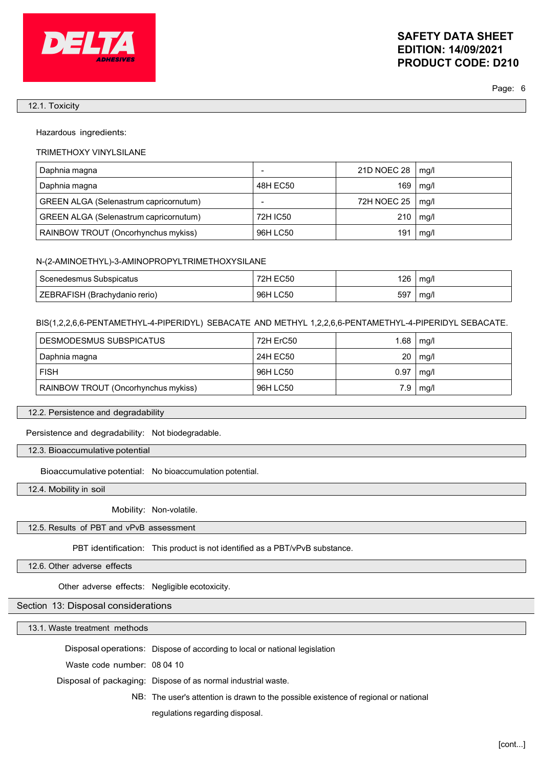

Page: 6

#### 12.1. Toxicity

Hazardous ingredients:

#### TRIMETHOXY VINYLSILANE

| Daphnia magna                                 |          | 21D NOEC 28 | mg/l |
|-----------------------------------------------|----------|-------------|------|
| Daphnia magna                                 | 48H EC50 | 169         | mg/l |
| <b>GREEN ALGA (Selenastrum capricornutum)</b> |          | 72H NOEC 25 | mg/l |
| GREEN ALGA (Selenastrum capricornutum)        | 72H IC50 | 210         | mg/l |
| RAINBOW TROUT (Oncorhynchus mykiss)           | 96H LC50 | 191         | mg/l |

#### N-(2-AMINOETHYL)-3-AMINOPROPYLTRIMETHOXYSILANE

| l Scenedesmus Subspicatus     | 72H EC50 | 126 | ma/l |
|-------------------------------|----------|-----|------|
| ZEBRAFISH (Brachydanio rerio) | 96H LC50 | 597 | mg/  |

#### BIS(1,2,2,6,6-PENTAMETHYL-4-PIPERIDYL) SEBACATE AND METHYL 1,2,2,6,6-PENTAMETHYL-4-PIPERIDYL SEBACATE.

| DESMODESMUS SUBSPICATUS             | 72H ErC50 | 1.68 | mg/l |
|-------------------------------------|-----------|------|------|
| Daphnia magna                       | 24H EC50  | 20   | mg/l |
| <b>FISH</b>                         | 96H LC50  | 0.97 | mg/l |
| RAINBOW TROUT (Oncorhynchus mykiss) | 96H LC50  | 7.9  | mg/l |

#### 12.2. Persistence and degradability

Persistence and degradability: Not biodegradable.

12.3. Bioaccumulative potential

Bioaccumulative potential: No bioaccumulation potential.

12.4. Mobility in soil

Mobility: Non-volatile.

## 12.5. Results of PBT and vPvB assessment

PBT identification: This product is not identified as a PBT/vPvB substance.

12.6. Other adverse effects

Other adverse effects: Negligible ecotoxicity.

## Section 13: Disposal considerations

13.1. Waste treatment methods

Disposal operations: Dispose of according to local or national legislation

Waste code number: 08 04 10

Disposal of packaging: Dispose of as normal industrial waste.

NB: The user's attention is drawn to the possible existence of regional or national

regulations regarding disposal.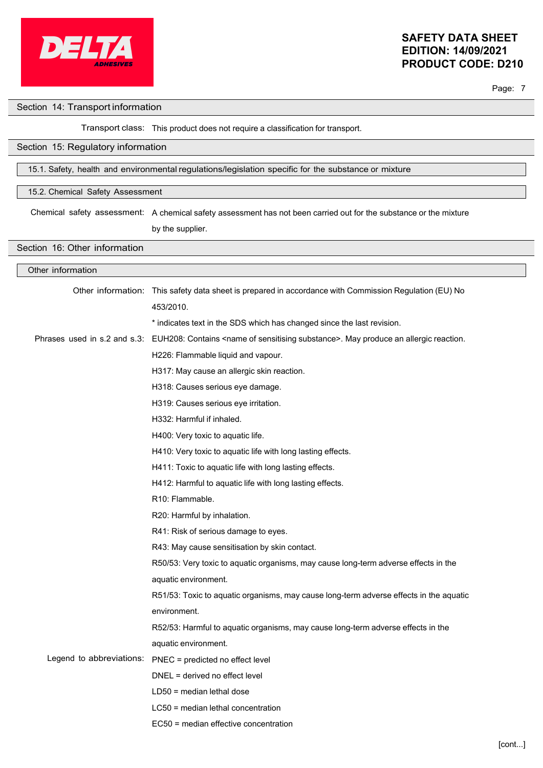

Page: 7

#### Section 14: Transport information

### Transport class: This product does not require a classification for transport.

## Section 15: Regulatory information

### 15.1. Safety, health and environmental regulations/legislation specific for the substance or mixture

#### 15.2. Chemical Safety Assessment

Chemical safety assessment: A chemical safety assessment has not been carried out for the substance or the mixture

by the supplier.

## Section 16: Other information

| Other information |                                                                                                                                  |
|-------------------|----------------------------------------------------------------------------------------------------------------------------------|
|                   | Other information: This safety data sheet is prepared in accordance with Commission Regulation (EU) No                           |
|                   | 453/2010.                                                                                                                        |
|                   | * indicates text in the SDS which has changed since the last revision.                                                           |
|                   | Phrases used in s.2 and s.3: EUH208: Contains <name of="" sensitising="" substance="">. May produce an allergic reaction.</name> |
|                   | H226: Flammable liquid and vapour.                                                                                               |
|                   | H317: May cause an allergic skin reaction.                                                                                       |
|                   | H318: Causes serious eye damage.                                                                                                 |
|                   | H319: Causes serious eye irritation.                                                                                             |
|                   | H332: Harmful if inhaled.                                                                                                        |
|                   | H400: Very toxic to aquatic life.                                                                                                |
|                   | H410: Very toxic to aquatic life with long lasting effects.                                                                      |
|                   | H411: Toxic to aquatic life with long lasting effects.                                                                           |
|                   | H412: Harmful to aquatic life with long lasting effects.                                                                         |
|                   | R <sub>10</sub> : Flammable.                                                                                                     |
|                   | R20: Harmful by inhalation.                                                                                                      |
|                   | R41: Risk of serious damage to eyes.                                                                                             |
|                   | R43: May cause sensitisation by skin contact.                                                                                    |
|                   | R50/53: Very toxic to aquatic organisms, may cause long-term adverse effects in the                                              |
|                   | aquatic environment.                                                                                                             |
|                   | R51/53: Toxic to aquatic organisms, may cause long-term adverse effects in the aquatic                                           |
|                   | environment.                                                                                                                     |
|                   | R52/53: Harmful to aquatic organisms, may cause long-term adverse effects in the                                                 |
|                   | aquatic environment.                                                                                                             |
|                   | Legend to abbreviations: PNEC = predicted no effect level                                                                        |
|                   | DNEL = derived no effect level                                                                                                   |
|                   | $LD50$ = median lethal dose                                                                                                      |
|                   | LC50 = median lethal concentration                                                                                               |
|                   | EC50 = median effective concentration                                                                                            |